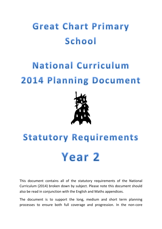## **Great Chart Primary** School

## **National Curriculum 2014 Planning Document**



## **Statutory Requirements** Year 2

This document contains all of the statutory requirements of the National Curriculum (2014) broken down by subject. Please note this document should also be read in conjunction with the English and Maths appendices.

The document is to support the long, medium and short term planning processes to ensure both full coverage and progression. In the non-core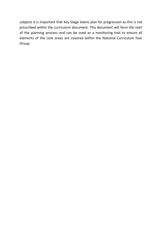subjects it is important that Key Stage teams plan for progression as this is not prescribed within the curriculum document. This document will form the start of the planning process and can be used as a monitoring tool to ensure all elements of the core areas are covered within the National Curriculum Year Group.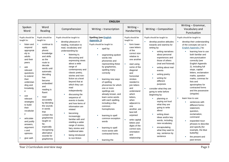|                                                                                                                                                                                                                                                                                          |                                                                                                                                                                                                                                                                                                        |                                                                                                                                                                                                                                                                                                                                                                                                                                                                       | <b>ENGLISH</b>                                                                                                                                                                                                                                                                                                                                                                                                               |                                                                                                                                                                                                                                                                                                                                             |                                                                                                                                                                                                                                                                                                                                                                                                                                                             |                                                                                                                                                                                                                                                                                                                                                                                                                                                                                                                           |
|------------------------------------------------------------------------------------------------------------------------------------------------------------------------------------------------------------------------------------------------------------------------------------------|--------------------------------------------------------------------------------------------------------------------------------------------------------------------------------------------------------------------------------------------------------------------------------------------------------|-----------------------------------------------------------------------------------------------------------------------------------------------------------------------------------------------------------------------------------------------------------------------------------------------------------------------------------------------------------------------------------------------------------------------------------------------------------------------|------------------------------------------------------------------------------------------------------------------------------------------------------------------------------------------------------------------------------------------------------------------------------------------------------------------------------------------------------------------------------------------------------------------------------|---------------------------------------------------------------------------------------------------------------------------------------------------------------------------------------------------------------------------------------------------------------------------------------------------------------------------------------------|-------------------------------------------------------------------------------------------------------------------------------------------------------------------------------------------------------------------------------------------------------------------------------------------------------------------------------------------------------------------------------------------------------------------------------------------------------------|---------------------------------------------------------------------------------------------------------------------------------------------------------------------------------------------------------------------------------------------------------------------------------------------------------------------------------------------------------------------------------------------------------------------------------------------------------------------------------------------------------------------------|
| Spoken<br>Word                                                                                                                                                                                                                                                                           | Word<br>Reading                                                                                                                                                                                                                                                                                        | Comprehension                                                                                                                                                                                                                                                                                                                                                                                                                                                         | Writing - transcription                                                                                                                                                                                                                                                                                                                                                                                                      | Writing $-$<br>Handwriting                                                                                                                                                                                                                                                                                                                  | Writing - Composition                                                                                                                                                                                                                                                                                                                                                                                                                                       | Writing - Grammar,<br>Vocabulary and<br>Punctuation                                                                                                                                                                                                                                                                                                                                                                                                                                                                       |
| Pupils should be<br>taught to:<br>listen and<br>respond<br>appropriat<br>ely to<br>adults<br>and their<br>peers<br>ask<br>relevant<br>questions<br>to extend<br>their<br>understan<br>ding and<br>knowledg<br>e<br>×.<br>use<br>relevant<br>strategies<br>to build<br>their<br>vocabular | Pupils should be<br>taught to:<br>continue to<br>apply<br>phonic<br>knowledge<br>and skills<br>as the<br>route to<br>decode<br>words until<br>automatic<br>decoding<br>has<br>become<br>embedded<br>and<br>reading is<br>fluent<br>read<br>accurately<br>by blending<br>the sounds<br>in words<br>that | Pupils should be taught to:<br>develop pleasure in<br>reading, motivation to<br>read, vocabulary and<br>understanding by:<br>listening to,<br>×<br>discussing and<br>expressing views<br>about a wide<br>range of<br>contemporary and<br>classic poetry,<br>stories and non-<br>fiction at a level<br>beyond that at<br>which they can<br>read<br>independently<br>discussing the<br>sequence of<br>events in books<br>and how items of<br>information are<br>related | <b>Spelling (see English</b><br><b>Appendix 1)</b><br>Pupils should be taught to:<br>spell by:<br>segmenting spoken<br>words into<br>phonemes and<br>representing these<br>by graphemes,<br>spelling many<br>correctly<br>learning new ways<br>of spelling<br>phonemes for which<br>one or more<br>spellings are<br>already known, and<br>learn some words<br>with each spelling,<br>including a few<br>common<br>homophones | Pupils should be<br>taught to:<br>form lower-<br>٠<br>case letters<br>of the<br>correct size<br>relative to<br>one another<br>٠<br>start using<br>some of the<br>diagonal<br>and<br>horizontal<br>strokes<br>needed to<br>join letters<br>and<br>understand<br>which<br>letters,<br>when<br>adjacent to<br>one<br>another, are<br>best left | Pupils should be taught to:<br>develop positive attitudes<br>towards and stamina for<br>writing by:<br>writing narratives<br>×.<br>about personal<br>experiences and<br>those of others<br>(real and fictional)<br>writing about real<br>events<br>writing poetry<br>writing for<br>different<br>purposes<br>consider what they are<br>going to write before<br>beginning by:<br>planning or<br>saying out loud<br>what they are<br>going to write<br>about | Pupils should be taught to:<br>develop their understanding<br>of the concepts set out in<br>English Appendix 2 by:<br>learning how to use<br>both familiar and<br>new punctuation<br>correctly (see<br><b>English Appendix</b><br>2), including full<br>stops, capital<br>letters, exclamation<br>marks, question<br>marks, commas for<br>lists and<br>apostrophes for<br>contracted forms<br>and the possessive<br>(singular)<br>×<br>learn how to use:<br>sentences with<br>different forms:<br>statement,<br>question, |
| У<br>articulate<br>and justify<br>answers,<br>argument<br>s and<br>opinions<br>give well-                                                                                                                                                                                                | contain the<br>graphemes<br>taught so<br>far,<br>especially<br>recognising<br>alternative<br>sounds for<br>graphemes                                                                                                                                                                                   | becoming<br>increasingly<br>familiar with and<br>retelling a wider<br>range of stories,<br>fairy stories and<br>traditional tales<br>being introduced<br>to non-fiction                                                                                                                                                                                                                                                                                               | learning to spell<br>common exception<br>words<br>learning to spell<br>more words with<br>contracted forms<br>learning the                                                                                                                                                                                                                                                                                                   | unjoined<br>write capital<br>letters and<br>digits of the<br>correct size.<br>orientation<br>and<br>relationship                                                                                                                                                                                                                            | writing down<br>ideas and/or key<br>words, including<br>new vocabulary<br>encapsulating<br>what they want to<br>say, sentence by<br>sentence                                                                                                                                                                                                                                                                                                                | exclamation,<br>command<br>expanded noun<br>phrases to describe<br>and specify [for<br>example, the blue<br>butterfly]<br>the present and<br>past tenses                                                                                                                                                                                                                                                                                                                                                                  |

**The Vear 2 Curriculum overview map** Page 3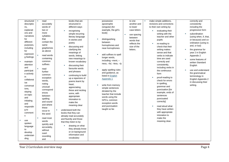| structured    | read        | books that are          | possessive                | to one           | make simple additions,    | correctly and           |
|---------------|-------------|-------------------------|---------------------------|------------------|---------------------------|-------------------------|
| descriptio    | accurately  | structured in           | apostrophe                | another and      | revisions and corrections | consistently            |
|               | words of    |                         | (singular) [for           | to lower         | to their own writing by:  | including the           |
| ns,           |             | different ways          | example, the girl's       | case letters     |                           |                         |
| explanati     | two or      | recognising             |                           |                  | evaluating their          | progressive form        |
| ons and       | more        | simple recurring        | book]                     | ٠<br>use spacing | writing with the          | subordination<br>×      |
| narratives    | syllables   | literary language       |                           | between          | teacher and other         | (using when, if, that,  |
| for           | that        | in stories and          | distinguishing<br>×       | words that       | pupils                    | or because) and co-     |
| different     | contain the | poetry                  | between                   | reflects the     | re-reading to<br>×        | ordination (using or,   |
| purposes,     | same        | discussing and          | homophones and            | size of the      | check that their          | and, or but)            |
| including     | graphemes   | clarifying the          | near-homophones           | letters.         | writing makes             | the grammar for<br>×    |
| for           | as above    | meanings of             |                           |                  | sense and that            | year 2 in English       |
| expressin     | read words  | words, linking          | add suffixes to spell     |                  | verbs to indicate         | Appendix 2              |
| g feelings    | containing  | new meanings to         | longer words,             |                  | time are used             | some features of        |
| maintain<br>× | common      | known vocabulary        | including -ment, -        |                  | correctly and             | written Standard        |
| attention     | suffixes    | discussing their        | ness, -ful, -less, -ly    |                  | consistently,             | English                 |
| and           | ٠           | favourite words         |                           |                  | including verbs in        |                         |
| participat    | read        | and phrases             | apply spelling rules<br>× |                  | the continuous            | use and understand<br>× |
| e actively    | further     |                         | and guidance, as          |                  | form                      | the grammatical         |
| in            | common      | continuing to build     | listed in English         |                  |                           | terminology in          |
| collaborat    | exception   | up a repertoire of      | <b>Appendix 1</b>         |                  | proof-reading to          | English Appendix 2      |
| ive           | words,      | poems learnt by         |                           |                  | check for errors          | in discussing their     |
| conversat     | noting      | heart,                  | write from memory<br>×    |                  | in spelling,              | writing.                |
| ions,         | unusual     | appreciating            | simple sentences          |                  | grammar and               |                         |
| staying       | correspond  | these and reciting      | dictated by the           |                  | punctuation [for          |                         |
| on topic      | ences       | some, with              | teacher that include      |                  | example, ends of          |                         |
| and           | between     | appropriate             | words using the           |                  | sentences                 |                         |
| initiating    | spelling    | intonation to           | GPCs, common              |                  | punctuated                |                         |
| and           | and sound   | make the                | exception words           |                  | correctly]                |                         |
| respondin     | and where   | meaning clear           | and punctuation           |                  | read aloud what           |                         |
| g to          | these       | understand both the     | taught so far.            |                  | they have written         |                         |
| comment       | occur in    | books that they can     |                           |                  | with appropriate          |                         |
| s             | the word    | already read accurately |                           |                  | intonation to             |                         |
|               | read most   | and fluently and those  |                           |                  | make the                  |                         |
| ×<br>use      | words       | that they listen to by: |                           |                  | meaning clear.            |                         |
| spoken        | quickly and |                         |                           |                  |                           |                         |
| language      | accurately, | drawing on what         |                           |                  |                           |                         |
| to            | without     | they already know       |                           |                  |                           |                         |
| develop       | overt       | or on background        |                           |                  |                           |                         |
| understan     | sounding    | information and         |                           |                  |                           |                         |
| ding          | and         | vocabulary              |                           |                  |                           |                         |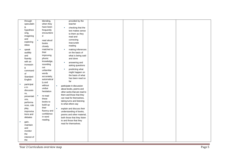| through                | blending,                  | provided by the                 |  |  |
|------------------------|----------------------------|---------------------------------|--|--|
| speculatin             | when they                  | teacher                         |  |  |
| g,                     | have been                  |                                 |  |  |
| hypothesi              | frequently                 | checking that the               |  |  |
|                        | encountere                 | text makes sense                |  |  |
| sing,                  | d                          | to them as they                 |  |  |
| imagining              |                            | read and                        |  |  |
| and                    | read aloud<br>$\mathbf{r}$ | correcting                      |  |  |
| exploring              | books                      | inaccurate                      |  |  |
| ideas                  | closely                    | reading                         |  |  |
| speak<br>٠             | matched to                 | making inferences<br>×          |  |  |
| audibly                | their                      | on the basis of                 |  |  |
| and                    | improving                  | what is being said              |  |  |
| fluently               | phonic                     | and done                        |  |  |
| with an                | knowledge,                 |                                 |  |  |
| increasin              | sounding                   | answering and<br>×              |  |  |
|                        | out                        | asking questions                |  |  |
| g<br>command           | unfamiliar                 | predicting what<br>×            |  |  |
|                        | words                      | might happen on                 |  |  |
| of                     |                            | the basis of what               |  |  |
| Standard               | accurately,                | has been read so                |  |  |
| English                | automatical                | far                             |  |  |
| participat<br>×        | ly and                     |                                 |  |  |
| e in                   | without                    | participate in discussion<br>×. |  |  |
| discussio              | undue                      | about books, poems and          |  |  |
| ns,                    | hesitation                 | other works that are read to    |  |  |
| presentati             | re-read<br>٠               | them and those that they        |  |  |
| ons,                   | these                      | can read for themselves,        |  |  |
| performa               | books to                   | taking turns and listening      |  |  |
| nces, role             | build up                   | to what others say              |  |  |
|                        | their                      |                                 |  |  |
| play,                  | fluency and                | explain and discuss their<br>m. |  |  |
| improvisa<br>tions and | confidence                 | understanding of books,         |  |  |
|                        | in word                    | poems and other material,       |  |  |
| debates                | reading.                   | both those that they listen     |  |  |
| gain,<br>a.            |                            | to and those that they          |  |  |
| maintain               |                            | read for themselves.            |  |  |
| and                    |                            |                                 |  |  |
| monitor                |                            |                                 |  |  |
| the                    |                            |                                 |  |  |
| interest of            |                            |                                 |  |  |
| the                    |                            |                                 |  |  |
|                        |                            |                                 |  |  |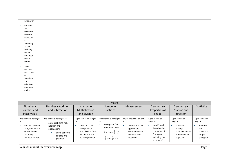| listener(s)            |  |  |  |
|------------------------|--|--|--|
|                        |  |  |  |
|                        |  |  |  |
| consider<br><b>COL</b> |  |  |  |
| and                    |  |  |  |
| evaluate               |  |  |  |
|                        |  |  |  |
| different              |  |  |  |
| viewpoint              |  |  |  |
| s,                     |  |  |  |
|                        |  |  |  |
| attending              |  |  |  |
| to and                 |  |  |  |
| building               |  |  |  |
| on the                 |  |  |  |
|                        |  |  |  |
| contributi             |  |  |  |
| ons of                 |  |  |  |
| others                 |  |  |  |
|                        |  |  |  |
| select<br>$\sim$       |  |  |  |
|                        |  |  |  |
| and use                |  |  |  |
| appropriat             |  |  |  |
| $\mathbf{e}$           |  |  |  |
|                        |  |  |  |
| registers              |  |  |  |
| for                    |  |  |  |
| effective              |  |  |  |
|                        |  |  |  |
| communi                |  |  |  |
| cation.                |  |  |  |
|                        |  |  |  |

|                                                                                                                          |                                                                                                                                  |                                                                                                                                   | <b>Maths</b>                                                                                                                                              |                                                                                                                 |                                                                                                                               |                                                                                                                      |                                                                                        |
|--------------------------------------------------------------------------------------------------------------------------|----------------------------------------------------------------------------------------------------------------------------------|-----------------------------------------------------------------------------------------------------------------------------------|-----------------------------------------------------------------------------------------------------------------------------------------------------------|-----------------------------------------------------------------------------------------------------------------|-------------------------------------------------------------------------------------------------------------------------------|----------------------------------------------------------------------------------------------------------------------|----------------------------------------------------------------------------------------|
| Number $-$                                                                                                               | Number - Addition                                                                                                                | Number $-$                                                                                                                        | Number $-$                                                                                                                                                | Measurement                                                                                                     | Geometry $-$                                                                                                                  | Geometry $-$                                                                                                         | <b>Statistics</b>                                                                      |
| Number and                                                                                                               | and subtraction                                                                                                                  | Multiplication                                                                                                                    | fractions                                                                                                                                                 |                                                                                                                 | Properties of                                                                                                                 | Position and                                                                                                         |                                                                                        |
| Place Value                                                                                                              |                                                                                                                                  | and division                                                                                                                      |                                                                                                                                                           |                                                                                                                 | shape                                                                                                                         | direction                                                                                                            |                                                                                        |
| Pupils should be taught<br>to:<br>count in steps of<br>2, 3, and 5 from<br>0. and in tens<br>from any<br>number, forward | Pupils should be taught to:<br>solve problems with<br>addition and<br>subtraction:<br>using concrete<br>objects and<br>pictorial | Pupils should be taught<br>to:<br>recall and use<br>multiplication<br>and division facts<br>for the 2, 5 and<br>10 multiplication | Pupils should be taught<br>to:<br>recognise, find,<br>name and write<br>fractions $\frac{1}{3}$ , $\frac{1}{4}$ ,<br>$\frac{2}{4}$ and $\frac{3}{4}$ of a | Pupils should be taught<br>to:<br>choose and use<br>appropriate<br>standard units to<br>estimate and<br>measure | Pupils should be<br>taught to:<br>identify and<br>describe the<br>properties of 2-<br>D shapes,<br>including the<br>number of | Pupils should be<br>taught to:<br>order and<br><b>In</b><br>arrange<br>combinations of<br>mathematical<br>objects in | Pupils should be<br>taught to:<br>interpret<br>and<br>construct<br>simple<br>pictogram |

**The Vear 2 Curriculum overview map** Page 6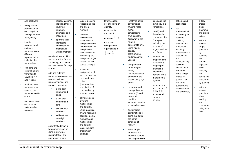| and backward         | representations,              | tables, including                | length, shape,                | length/height in        | sides and line    | patterns and     | s, tally                               |
|----------------------|-------------------------------|----------------------------------|-------------------------------|-------------------------|-------------------|------------------|----------------------------------------|
|                      | including those               | recognising odd                  | set of objects or             | any direction           | symmetry in a     | sequences        | charts,                                |
| recognise the        | involving                     | and even                         | quantity                      | $(m/cm)$ ; mass         | vertical line     |                  | block                                  |
| place value of       | numbers,                      | numbers                          | write simple                  | (kg/g);                 | ×.                | use              | diagrams                               |
| each digit in a      | quantities and                |                                  | fractions for                 | temperature             | identify and      | mathematical     | and simple                             |
| two-digit number     | measures                      | ٠<br>calculate                   |                               | (°C); capacity          | describe the      | vocabulary to    | tables                                 |
| (tens, ones)         | applying their                | mathematical                     | example, $\frac{1}{2}$ of     | (litres/ml) to the      | properties of 3-  | describe         |                                        |
| identify,            | increasing                    | statements for                   | $6 = 3$ and                   | nearest                 | D shapes,         | position,        | ask and<br>٠                           |
| represent and        | knowledge of                  | multiplication and               | recognise the                 | appropriate unit,       | including the     | direction and    | answer                                 |
| estimate             | mental and                    | division within the              | equivalence of                | using rulers,           | number of         | movement,        | simple                                 |
| numbers using        |                               | multiplication                   |                               | scales.                 | edges, vertices   | including        | questions                              |
| different            | written methods               | tables and write                 | $rac{2}{4}$ and $rac{1}{2}$ . | thermometers            | and faces         | movement in a    | by                                     |
| representations,     | recall and use addition<br>a. | them using the                   |                               | and measuring           | identify 2-D<br>٠ | straight line    | counting                               |
| including the        | and subtraction facts to      | multiplication $(x)$ ,           |                               | vessels                 | shapes on the     | and              | the                                    |
| number line          | 20 fluently, and derive       | division $(+)$ and               |                               |                         | surface of 3-D    | distinguishing   | number of                              |
|                      | and use related facts up      | equals $(=)$ signs               |                               | compare and             | shapes [for       | between          | objects in                             |
| compare and          | to 100                        | ×<br>show that                   |                               | order lengths,          | example, a        | rotation as a    | each                                   |
| order numbers        |                               | multiplication of                |                               | mass,                   | circle on a       | turn and in      | category                               |
| from 0 up to         | add and subtract<br>×         | two numbers can                  |                               | volume/capacity         | cylinder and a    | terms of right   | and                                    |
| 100; use $\lt$ , $>$ | numbers using concrete        | be done in any                   |                               | and record the          | triangle on a     | angles for       | sorting the                            |
| $and = signs$        | objects, pictorial            |                                  |                               | results using $>$ , $<$ | pyramid]          | quarter, half    | categories                             |
|                      | representations, and          | order                            |                               | $and =$                 |                   | and three-       | by quantity                            |
| read and write       | mentally, including:          | (commutative)<br>and division of |                               | recognise and<br>×      | ×<br>compare and  | quarter turns    | $\mathcal{L}_{\mathcal{A}}$<br>ask and |
| numbers to at        | a two-digit<br>×              |                                  |                               |                         | sort common 2-    | (clockwise and   |                                        |
| least 100 in         | number and                    | one number by                    |                               | use symbols for         | D and 3-D         | anti-clockwise). | answer                                 |
| numerals and in      | ones                          | another cannot                   |                               | pounds (£) and          | shapes and        |                  | questions                              |
| words                | a two-digit                   | solve problems                   |                               | pence $(p)$ ;           | everyday          |                  | about                                  |
| use place value      | number and                    | involving                        |                               | combine                 | objects.          |                  | totalling                              |
| and number           | tens                          | multiplication                   |                               | amounts to make         |                   |                  | and                                    |
| facts to solve       |                               | and division,                    |                               | a particular value      |                   |                  | comparing                              |
| problems.            | two two-digit                 | using materials,                 |                               | find different<br>×     |                   |                  | categorical                            |
|                      | numbers                       | arrays, repeated                 |                               | combinations of         |                   |                  | data.                                  |
|                      | adding three                  | addition, mental                 |                               | coins that equal        |                   |                  |                                        |
|                      | one-digit                     | methods, and                     |                               | the same                |                   |                  |                                        |
|                      | numbers                       | multiplication                   |                               | amounts of              |                   |                  |                                        |
|                      |                               | and division                     |                               | money                   |                   |                  |                                        |
|                      | show that addition of         | facts, including                 |                               |                         |                   |                  |                                        |
|                      | two numbers can be            | problems in                      |                               | solve simple            |                   |                  |                                        |
|                      | done in any order             | contexts.                        |                               | problems in a           |                   |                  |                                        |
|                      | (commutative) and             |                                  |                               | practical context       |                   |                  |                                        |
|                      | subtraction of one            |                                  |                               | involving addition      |                   |                  |                                        |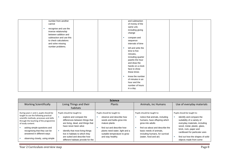| number from another      | and subtraction           |
|--------------------------|---------------------------|
| cannot                   | of money of the           |
|                          | same unit,                |
| recognise and use the    | including giving          |
| inverse relationship     | change                    |
| between addition and     |                           |
| subtraction and use this | compare and<br><b>COL</b> |
| to check calculations    | sequence                  |
| and solve missing        | intervals of time         |
| number problems.         |                           |
|                          | tell and write the        |
|                          | time to five              |
|                          | minutes,                  |
|                          | including quarter         |
|                          | past/to the hour          |
|                          | and draw the              |
|                          | hands on a clock          |
|                          | face to show              |
|                          | these times               |
|                          |                           |
|                          | know the number           |
|                          | of minutes in an          |
|                          | hour and the              |
|                          | number of hours           |
|                          | in a day.                 |
|                          |                           |

|                                                                                                                                                                                                                                                                                                                           |                                                                                                                                                                                                                                                                                                    | <b>Science</b>                                                                                                                                                                                                            |                                                                                                                                                                                                                                            |                                                                                                                                                                                                                                                                                  |
|---------------------------------------------------------------------------------------------------------------------------------------------------------------------------------------------------------------------------------------------------------------------------------------------------------------------------|----------------------------------------------------------------------------------------------------------------------------------------------------------------------------------------------------------------------------------------------------------------------------------------------------|---------------------------------------------------------------------------------------------------------------------------------------------------------------------------------------------------------------------------|--------------------------------------------------------------------------------------------------------------------------------------------------------------------------------------------------------------------------------------------|----------------------------------------------------------------------------------------------------------------------------------------------------------------------------------------------------------------------------------------------------------------------------------|
| <b>Working Scientifically</b>                                                                                                                                                                                                                                                                                             | Living Things and their                                                                                                                                                                                                                                                                            | Plants                                                                                                                                                                                                                    | Animals, inc Humans                                                                                                                                                                                                                        | Use of everyday materials                                                                                                                                                                                                                                                        |
|                                                                                                                                                                                                                                                                                                                           | habitats                                                                                                                                                                                                                                                                                           |                                                                                                                                                                                                                           |                                                                                                                                                                                                                                            |                                                                                                                                                                                                                                                                                  |
| During years 1 and 2, pupils should be<br>taught to use the following practical<br>scientific methods, processes and skills<br>through the teaching of the programme<br>of study content:<br>asking simple questions and<br>recognising that they can be<br>answered in different ways<br>observing closely, using simple | Pupils should be taught to:<br>explore and compare the<br>differences between things that<br>are living, dead, and things that<br>have never been alive<br>identify that most living things<br>live in habitats to which they<br>are suited and describe how<br>different habitats provide for the | Pupils should be taught to:<br>observe and describe how<br>seeds and bulbs grow into<br>mature plants<br>find out and describe how<br>plants need water, light and a<br>suitable temperature to grow<br>and stay healthy. | Pupils should be taught to:<br>notice that animals, including<br>humans, have offspring which<br>grow into adults<br>find out about and describe the<br>basic needs of animals,<br>including humans, for survival<br>(water, food and air) | Pupils should be taught to:<br>identify and compare the<br>suitability of a variety of<br>everyday materials, including<br>wood, metal, plastic, glass,<br>brick, rock, paper and<br>cardboard for particular uses<br>find out how the shapes of solid<br>objects made from some |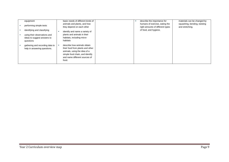| equipment                                                                | basic needs of different kinds of                                                                                                                                            | describe the importance for                                                                 | materials can be changed by                     |
|--------------------------------------------------------------------------|------------------------------------------------------------------------------------------------------------------------------------------------------------------------------|---------------------------------------------------------------------------------------------|-------------------------------------------------|
| performing simple tests<br>identifying and classifying                   | animals and plants, and how<br>they depend on each other<br>identify and name a variety of                                                                                   | humans of exercise, eating the<br>right amounts of different types<br>of food, and hygiene. | squashing, bending, twisting<br>and stretching. |
| using their observations and<br>ideas to suggest answers to<br>questions | plants and animals in their<br>habitats, including micro-<br>habitats                                                                                                        |                                                                                             |                                                 |
| gathering and recording data to<br>help in answering questions.          | describe how animals obtain<br>their food from plants and other<br>animals, using the idea of a<br>simple food chain, and identify<br>and name different sources of<br>food. |                                                                                             |                                                 |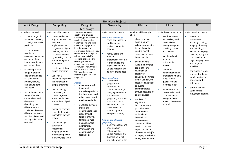|                                                                                                                                                                                                                                                                                                                                                                                                                                                                                                                                                                                                                        |                                                                                                                                                                                                                                                                                                                                                                                                                                                                                                                                                                                                                                                                                                     |                                                                                                                                                                                                                                                                                                                                                                                                                                                                                                                                                                                                                                                                                                                                                                                                                              | <b>Non-Core Subjects</b>                                                                                                                                                                                                                                                                                                                                                                                                                                                                                                                                                                                                                                                                                                                                 |                                                                                                                                                                                                                                                                                                                                                                                                                                                                                                                                                                                                                                                                                                   |                                                                                                                                                                                                                                                                                                                                                                                                                                                                          |                                                                                                                                                                                                                                                                                                                                                                                                            |
|------------------------------------------------------------------------------------------------------------------------------------------------------------------------------------------------------------------------------------------------------------------------------------------------------------------------------------------------------------------------------------------------------------------------------------------------------------------------------------------------------------------------------------------------------------------------------------------------------------------------|-----------------------------------------------------------------------------------------------------------------------------------------------------------------------------------------------------------------------------------------------------------------------------------------------------------------------------------------------------------------------------------------------------------------------------------------------------------------------------------------------------------------------------------------------------------------------------------------------------------------------------------------------------------------------------------------------------|------------------------------------------------------------------------------------------------------------------------------------------------------------------------------------------------------------------------------------------------------------------------------------------------------------------------------------------------------------------------------------------------------------------------------------------------------------------------------------------------------------------------------------------------------------------------------------------------------------------------------------------------------------------------------------------------------------------------------------------------------------------------------------------------------------------------------|----------------------------------------------------------------------------------------------------------------------------------------------------------------------------------------------------------------------------------------------------------------------------------------------------------------------------------------------------------------------------------------------------------------------------------------------------------------------------------------------------------------------------------------------------------------------------------------------------------------------------------------------------------------------------------------------------------------------------------------------------------|---------------------------------------------------------------------------------------------------------------------------------------------------------------------------------------------------------------------------------------------------------------------------------------------------------------------------------------------------------------------------------------------------------------------------------------------------------------------------------------------------------------------------------------------------------------------------------------------------------------------------------------------------------------------------------------------------|--------------------------------------------------------------------------------------------------------------------------------------------------------------------------------------------------------------------------------------------------------------------------------------------------------------------------------------------------------------------------------------------------------------------------------------------------------------------------|------------------------------------------------------------------------------------------------------------------------------------------------------------------------------------------------------------------------------------------------------------------------------------------------------------------------------------------------------------------------------------------------------------|
| Art & Design                                                                                                                                                                                                                                                                                                                                                                                                                                                                                                                                                                                                           | Computing                                                                                                                                                                                                                                                                                                                                                                                                                                                                                                                                                                                                                                                                                           | Design &                                                                                                                                                                                                                                                                                                                                                                                                                                                                                                                                                                                                                                                                                                                                                                                                                     | Geography                                                                                                                                                                                                                                                                                                                                                                                                                                                                                                                                                                                                                                                                                                                                                | History                                                                                                                                                                                                                                                                                                                                                                                                                                                                                                                                                                                                                                                                                           | <b>Music</b>                                                                                                                                                                                                                                                                                                                                                                                                                                                             | PE                                                                                                                                                                                                                                                                                                                                                                                                         |
|                                                                                                                                                                                                                                                                                                                                                                                                                                                                                                                                                                                                                        |                                                                                                                                                                                                                                                                                                                                                                                                                                                                                                                                                                                                                                                                                                     | Technology                                                                                                                                                                                                                                                                                                                                                                                                                                                                                                                                                                                                                                                                                                                                                                                                                   |                                                                                                                                                                                                                                                                                                                                                                                                                                                                                                                                                                                                                                                                                                                                                          |                                                                                                                                                                                                                                                                                                                                                                                                                                                                                                                                                                                                                                                                                                   |                                                                                                                                                                                                                                                                                                                                                                                                                                                                          |                                                                                                                                                                                                                                                                                                                                                                                                            |
| Pupils should be taught:<br>to use a range of<br>materials creatively<br>to design and make<br>products<br>×<br>to use drawing,<br>painting and<br>sculpture to develop<br>and share their<br>ideas, experiences<br>and imagination<br>×<br>to develop a wide<br>range of art and<br>design techniques<br>in using colour,<br>pattern, texture,<br>line, shape, form<br>and space<br>about the work of a<br>×<br>range of artists,<br>craft makers and<br>designers,<br>describing the<br>differences and<br>similarities between<br>different practices<br>and disciplines, and<br>making links to their<br>own work. | Pupils should be taught to:<br>understand what<br>٠<br>algorithms are; how<br>they are<br>implemented as<br>programs on digital<br>devices; and that<br>programs execute<br>by following precise<br>and unambiguous<br>instructions<br>create and debug<br>simple programs<br>use logical<br>×<br>reasoning to predict<br>the behaviour of<br>simple programs<br>use technology<br>purposefully to<br>create, organise,<br>store, manipulate<br>and retrieve digital<br>content<br>$\mathbf{r}$<br>recognise common<br>uses of information<br>technology beyond<br>school<br>use technology<br>٠<br>safely and<br>respectfully,<br>keeping personal<br>information private:<br>identify where to go | Through a variety of<br>creative and practical<br>activities, pupils should be<br>taught the knowledge,<br>understanding and skills<br>needed to engage in an<br>iterative process of<br>designing and making. They<br>should work in a range of<br>relevant contexts [for<br>example, the home and<br>school, gardens and<br>playgrounds, the local<br>community, industry and<br>the wider environment].<br>When designing and<br>making, pupils should be<br>taught to:<br>Design<br>ä.<br>design purposeful,<br>functional,<br>appealing products<br>for themselves and<br>other users based<br>on design criteria<br>generate, develop,<br>model and<br>communicate their<br>ideas through<br>talking, drawing,<br>templates, mock-<br>ups and, where<br>appropriate,<br>information and<br>communication<br>technology | Pupils should be taught to:<br><b>Locational knowledge</b><br>name and locate the<br>world's seven<br>continents and five<br>oceans<br>×<br>name, locate and<br>identify<br>characteristics of the<br>four countries and<br>capital cities of the<br>United Kingdom and<br>its surrounding seas<br><b>Place knowledge</b><br>understand<br>×<br>geographical<br>similarities and<br>differences through<br>studying the human<br>and physical<br>geography of a small<br>area of the United<br>Kingdom, and of a<br>small area in a<br>contrasting non-<br>European country<br><b>Human and physical</b><br>geography<br>identify seasonal and<br>daily weather<br>patterns in the<br>United Kingdom and<br>the location of hot<br>and cold areas of the | Pupils should be taught<br>about:<br>changes within<br>living memory.<br>Where appropriate,<br>these should be<br>used to reveal<br>aspects of change<br>in national life<br>events beyond<br>living memory that<br>are significant<br>nationally or<br>globally [for<br>example, the Great<br>Fire of London, the<br>first aeroplane flight<br>or events<br>commemorated<br>through festivals or<br>anniversaries]<br>the lives of<br>significant<br>individuals in the<br>past who have<br>contributed to<br>national and<br>international<br>achievements.<br>Some should be<br>used to compare<br>aspects of life in<br>different periods [for<br>example, Elizabeth I<br>and Queen Victoria. | Pupils should be taught to:<br>ä,<br>use their voices<br>expressively and<br>creatively by<br>singing songs and<br>speaking chants<br>and rhymes<br>×<br>play tuned and<br>untuned<br>instruments<br>musically<br>×<br>listen with<br>concentration and<br>understanding to a<br>range of high-<br>quality live and<br>recorded music<br>$\mathbf{r}$<br>experiment with,<br>create, select and<br>combine sounds<br>using the inter-<br>related dimensions<br>of music. | Pupils should be taught to:<br>master basic<br>movements<br>including running,<br>jumping, throwing<br>and catching, as<br>well as developing<br>balance, agility and<br>co-ordination, and<br>begin to apply these<br>in a range of<br>activities<br>participate in team<br>games, developing<br>simple tactics for<br>attacking and<br>defending<br>perform dances<br>using simple<br>movement patterns. |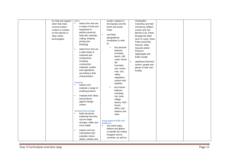| for help and support | <b>Make</b>                          | world in relation to           | Christopher                 |  |
|----------------------|--------------------------------------|--------------------------------|-----------------------------|--|
| when they have       | select from and use<br>$\sim$        | the Equator and the            | Columbus and Neil           |  |
| concerns about       | a range of tools and                 | North and South                | Armstrong, William          |  |
| content or contact   | equipment to                         | Poles                          | Caxton and Tim              |  |
| on the internet or   | perform practical                    | use basic<br>×                 | Berners-Lee, Pieter         |  |
| other online         | tasks [for example,                  | geographical                   | <b>Bruegel the Elder</b>    |  |
| technologies.        | cutting, shaping,                    |                                | and LS Lowry, Rosa          |  |
|                      | joining and                          | vocabulary to refer<br>to:     | Parks and Emily             |  |
|                      | finishing]                           |                                | Davison, Mary               |  |
|                      | select from and use<br>×             | key physical<br>×              | Seacole and/or              |  |
|                      | a wide range of                      | features,                      | Florence                    |  |
|                      | materials and                        | including:                     | Nightingale and             |  |
|                      | components,                          | beach, cliff,                  | Edith Cavell]               |  |
|                      | including                            | coast, forest,                 | significant historical<br>× |  |
|                      | construction                         | hill,                          | events, people and          |  |
|                      | materials, textiles                  | mountain,                      | places in their own         |  |
|                      | and ingredients,                     | sea, ocean,<br>river, soil,    | locality.                   |  |
|                      | according to their                   | valley,                        |                             |  |
|                      | characteristics                      | vegetation,                    |                             |  |
|                      |                                      | season and                     |                             |  |
|                      | <b>Evaluate</b>                      | weather                        |                             |  |
|                      | explore and<br><b>COL</b>            | ×                              |                             |  |
|                      | evaluate a range of                  | key human                      |                             |  |
|                      | existing products                    | features,<br>including:        |                             |  |
|                      | evaluate their ideas<br>$\mathbf{r}$ | city, town,                    |                             |  |
|                      | and products                         | village,                       |                             |  |
|                      | against design                       | factory, farm,                 |                             |  |
|                      | criteria                             | house,                         |                             |  |
|                      |                                      | office, port,                  |                             |  |
|                      | <b>Technical knowledge</b>           | harbour and                    |                             |  |
|                      | build structures,<br>$\mathbf{r}$    | shop                           |                             |  |
|                      | exploring how they                   |                                |                             |  |
|                      | can be made                          | <b>Geographical skills and</b> |                             |  |
|                      | stronger, stiffer and                | <b>fieldwork</b>               |                             |  |
|                      | more stable                          | use world maps,<br>×           |                             |  |
|                      | explore and use<br>×                 | atlases and globes             |                             |  |
|                      | mechanisms [for                      | to identify the United         |                             |  |
|                      | example, levers,                     | Kingdom and its                |                             |  |
|                      | sliders, wheels and                  | countries, as well as          |                             |  |
|                      |                                      |                                |                             |  |